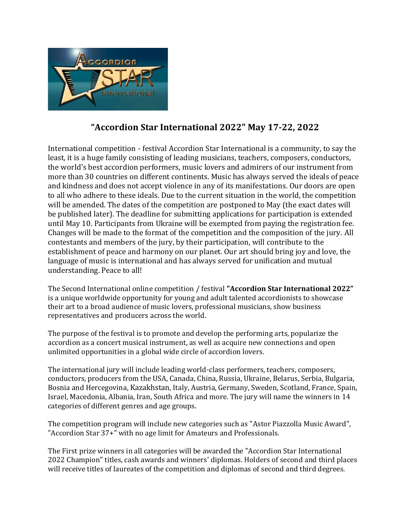

# **"Accordion Star International 2022" May 17-22, 2022**

International competition - festival Accordion Star International is a community, to say the least, it is a huge family consisting of leading musicians, teachers, composers, conductors, the world's best accordion performers, music lovers and admirers of our instrument from more than 30 countries on different continents. Music has always served the ideals of peace and kindness and does not accept violence in any of its manifestations. Our doors are open to all who adhere to these ideals. Due to the current situation in the world, the competition will be amended. The dates of the competition are postponed to May (the exact dates will be published later). The deadline for submitting applications for participation is extended until May 10. Participants from Ukraine will be exempted from paying the registration fee. Changes will be made to the format of the competition and the composition of the jury. All contestants and members of the jury, by their participation, will contribute to the establishment of peace and harmony on our planet. Our art should bring joy and love, the language of music is international and has always served for unification and mutual understanding. Peace to all!

The Second International online competition / festival **"Accordion Star International 2022"**  is a unique worldwide opportunity for young and adult talented accordionists to showcase their art to a broad audience of music lovers, professional musicians, show business representatives and producers across the world.

The purpose of the festival is to promote and develop the performing arts, popularize the accordion as a concert musical instrument, as well as acquire new connections and open unlimited opportunities in a global wide circle of accordion lovers.

The international jury will include leading world-class performers, teachers, composers, conductors, producers from the USA, Canada, China, Russia, Ukraine, Belarus, Serbia, Bulgaria, Bosnia and Hercegovina, Kazakhstan, Italy, Austria, Germany, Sweden, Scotland, France, Spain, Israel, Macedonia, Albania, Iran, South Africa and more. The jury will name the winners in 14 categories of different genres and age groups.

The competition program will include new categories such as "Astor Piazzolla Music Award", "Accordion Star 37+" with no age limit for Amateurs and Professionals.

The First prize winners in all categories will be awarded the "Accordion Star International 2022 Champion" titles, cash awards and winners' diplomas. Holders of second and third places will receive titles of laureates of the competition and diplomas of second and third degrees.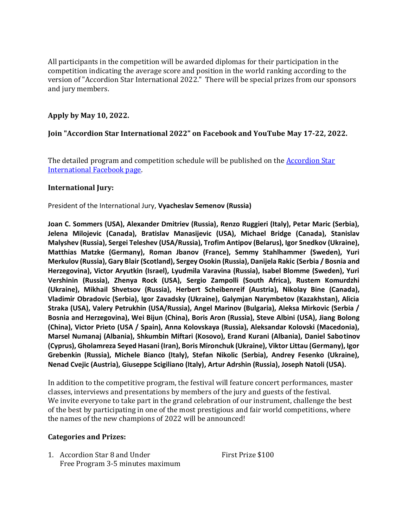All participants in the competition will be awarded diplomas for their participation in the competition indicating the average score and position in the world ranking according to the version of "Accordion Star International 2022." There will be special prizes from our sponsors and jury members.

## **Apply by May 10, 2022.**

## **Join "Accordion Star International 2022" on Facebook and YouTube May 17-22, 2022.**

The detailed program and competition schedule will be published on the [Accordion Star](https://www.facebook.com/AccoStarFest)  [International Facebook page.](https://www.facebook.com/AccoStarFest)

#### **International Jury:**

President of the International Jury, **Vyacheslav Semenov (Russia)**

**Joan C. Sommers (USA), Alexander Dmitriev (Russia), Renzo Ruggieri (Italy), Petar Maric (Serbia), Jelena Milojevic (Canada), Bratislav Manasijevic (USA), Michael Bridge (Canada), Stanislav Malyshev (Russia), Sergei Teleshev (USA/Russia), Trofim Antipov (Belarus), Igor Snedkov (Ukraine), Matthias Matzke (Germany), Roman Jbanov (France), Semmy Stahlhammer (Sweden), Yuri Merkulov (Russia), Gary Blair (Scotland), Sergey Osokin (Russia), Danijela Rakic (Serbia / Bosnia and Herzegovina), Victor Aryutkin (Israel), Lyudmila Varavina (Russia), Isabel Blomme (Sweden), Yuri Vershinin (Russia), Zhenya Rock (USA), Sergio Zampolli (South Africa), Rustem Komurdzhi (Ukraine), Mikhail Shvetsov (Russia), Herbert Scheibenreif (Austria), Nikolay Bine (Canada), Vladimir Obradovic (Serbia), Igor Zavadsky (Ukraine), Galymjan Narymbetov (Kazakhstan), Alicia Straka (USA), Valery Petrukhin (USA/Russia), Angel Marinov (Bulgaria), Aleksa Mirkovic (Serbia / Bosnia and Herzegovina), Wei Bijun (China), Boris Aron (Russia), Steve Albini (USA), Jiang Bolong (China), Victor Prieto (USA / Spain), Anna Kolovskaya (Russia), Aleksandar Kolovski (Macedonia), Marsel Numanaj (Albania), Shkumbin Miftari (Kosovo), Erand Kurani (Albania), Daniel Sabotinov (Cyprus), Gholamreza Seyed Hasani (Iran), Boris Mironchuk (Ukraine), Viktor Littau (Germany), Igor Grebenkin (Russia), Michele Bianco (Italy), Stefan Nikolic (Serbia), Andrey Fesenko (Ukraine), Nenad Cvejic (Austria), Giuseppe Scigiliano (Italy), Artur Adrshin (Russia), Joseph Natoli (USA).**

In addition to the competitive program, the festival will feature concert performances, master classes, interviews and presentations by members of the jury and guests of the festival. We invite everyone to take part in the grand celebration of our instrument, challenge the best of the best by participating in one of the most prestigious and fair world competitions, where the names of the new champions of 2022 will be announced!

#### **Categories and Prizes:**

1. Accordion Star 8 and Under First Prize \$100 Free Program 3-5 minutes maximum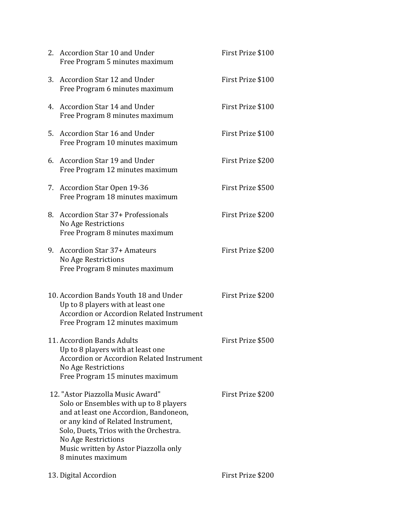|    | 2. Accordion Star 10 and Under<br>Free Program 5 minutes maximum                                                                                                                                                                                                                           | First Prize \$100 |
|----|--------------------------------------------------------------------------------------------------------------------------------------------------------------------------------------------------------------------------------------------------------------------------------------------|-------------------|
| 3. | Accordion Star 12 and Under<br>Free Program 6 minutes maximum                                                                                                                                                                                                                              | First Prize \$100 |
|    | 4. Accordion Star 14 and Under<br>Free Program 8 minutes maximum                                                                                                                                                                                                                           | First Prize \$100 |
|    | 5. Accordion Star 16 and Under<br>Free Program 10 minutes maximum                                                                                                                                                                                                                          | First Prize \$100 |
| 6. | Accordion Star 19 and Under<br>Free Program 12 minutes maximum                                                                                                                                                                                                                             | First Prize \$200 |
| 7. | Accordion Star Open 19-36<br>Free Program 18 minutes maximum                                                                                                                                                                                                                               | First Prize \$500 |
| 8. | <b>Accordion Star 37+ Professionals</b><br><b>No Age Restrictions</b><br>Free Program 8 minutes maximum                                                                                                                                                                                    | First Prize \$200 |
| 9. | <b>Accordion Star 37+ Amateurs</b><br>No Age Restrictions<br>Free Program 8 minutes maximum                                                                                                                                                                                                | First Prize \$200 |
|    | 10. Accordion Bands Youth 18 and Under<br>Up to 8 players with at least one<br><b>Accordion or Accordion Related Instrument</b><br>Free Program 12 minutes maximum                                                                                                                         | First Prize \$200 |
|    | 11. Accordion Bands Adults<br>Up to 8 players with at least one<br><b>Accordion or Accordion Related Instrument</b><br>No Age Restrictions<br>Free Program 15 minutes maximum                                                                                                              | First Prize \$500 |
|    | 12. "Astor Piazzolla Music Award"<br>Solo or Ensembles with up to 8 players<br>and at least one Accordion, Bandoneon,<br>or any kind of Related Instrument,<br>Solo, Duets, Trios with the Orchestra.<br>No Age Restrictions<br>Music written by Astor Piazzolla only<br>8 minutes maximum | First Prize \$200 |
|    | 13. Digital Accordion                                                                                                                                                                                                                                                                      | First Prize \$200 |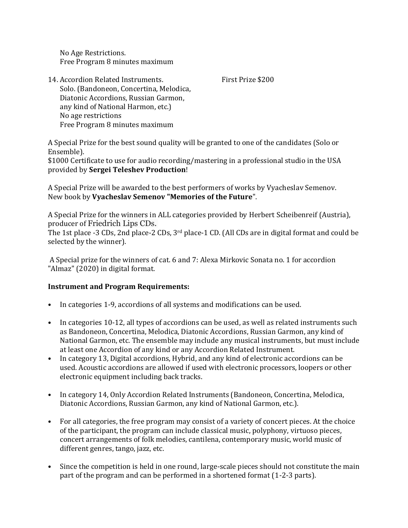No Age Restrictions. Free Program 8 minutes maximum

14. Accordion Related Instruments. First Prize \$200 Solo. (Bandoneon, Concertina, Melodica, Diatonic Accordions, Russian Garmon, any kind of National Harmon, etc.) No age restrictions Free Program 8 minutes maximum

A Special Prize for the best sound quality will be granted to one of the candidates (Solo or Ensemble).

\$1000 Certificate to use for audio recording/mastering in a professional studio in the USA provided by **Sergei Teleshev Production**!

A Special Prize will be awarded to the best performers of works by Vyacheslav Semenov. New book by **Vyacheslav Semenov "Memories of the Future**".

A Special Prize for the winners in ALL categories provided by Herbert Scheibenreif (Austria), producer of Friedrich Lips CDs.

The 1st place -3 CDs, 2nd place-2 CDs, 3<sup>rd</sup> place-1 CD. (All CDs are in digital format and could be selected by the winner).

A Special prize for the winners of cat. 6 and 7: Alexa Mirkovic Sonata no. 1 for accordion "Almaz" (2020) in digital format.

# **Instrument and Program Requirements:**

- In categories 1-9, accordions of all systems and modifications can be used.
- In categories 10-12, all types of accordions can be used, as well as related instruments such as Bandoneon, Concertina, Melodica, Diatonic Accordions, Russian Garmon, any kind of National Garmon, etc. The ensemble may include any musical instruments, but must include at least one Accordion of any kind or any Accordion Related Instrument.
- In category 13, Digital accordions, Hybrid, and any kind of electronic accordions can be used. Acoustic accordions are allowed if used with electronic processors, loopers or other electronic equipment including back tracks.
- In category 14, Only Accordion Related Instruments (Bandoneon, Concertina, Melodica, Diatonic Accordions, Russian Garmon, any kind of National Garmon, etc.).
- For all categories, the free program may consist of a variety of concert pieces. At the choice of the participant, the program can include classical music, polyphony, virtuoso pieces, concert arrangements of folk melodies, cantilena, contemporary music, world music of different genres, tango, jazz, etc.
- Since the competition is held in one round, large-scale pieces should not constitute the main part of the program and can be performed in a shortened format (1-2-3 parts).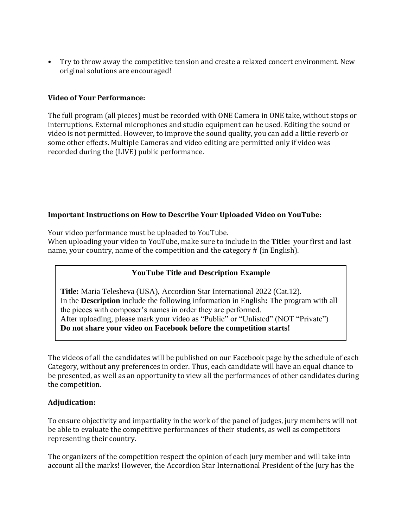• Try to throw away the competitive tension and create a relaxed concert environment. New original solutions are encouraged!

## **Video of Your Performance:**

The full program (all pieces) must be recorded with ONE Camera in ONE take, without stops or interruptions. External microphones and studio equipment can be used. Editing the sound or video is not permitted. However, to improve the sound quality, you can add a little reverb or some other effects. Multiple Cameras and video editing are permitted only if video was recorded during the (LIVE) public performance.

## **Important Instructions on How to Describe Your Uploaded Video on YouTube:**

Your video performance must be uploaded to YouTube.

When uploading your video to YouTube, make sure to include in the **Title:** your first and last name, your country, name of the competition and the category # (in English).

# **YouTube Title and Description Example**

**Title:** Maria Telesheva (USA), Accordion Star International 2022 (Cat.12). In the **Description** include the following information in English**:** The program with all the pieces with composer's names in order they are performed. After uploading, please mark your video as "Public" or "Unlisted" (NOT "Private") **Do not share your video on Facebook before the competition starts!** 

The videos of all the candidates will be published on our Facebook page by the schedule of each Category, without any preferences in order. Thus, each candidate will have an equal chance to be presented, as well as an opportunity to view all the performances of other candidates during the competition.

# **Adjudication:**

To ensure objectivity and impartiality in the work of the panel of judges, jury members will not be able to evaluate the competitive performances of their students, as well as competitors representing their country.

The organizers of the competition respect the opinion of each jury member and will take into account all the marks! However, the Accordion Star International President of the Jury has the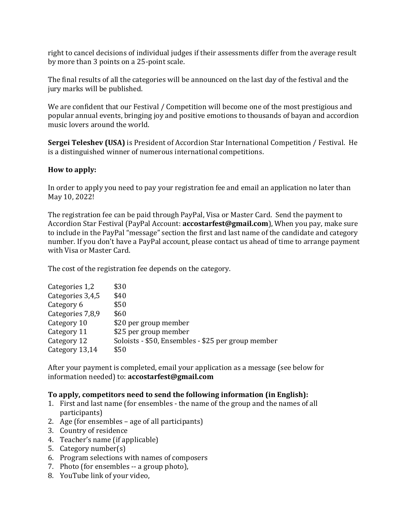right to cancel decisions of individual judges if their assessments differ from the average result by more than 3 points on a 25-point scale.

The final results of all the categories will be announced on the last day of the festival and the jury marks will be published.

We are confident that our Festival / Competition will become one of the most prestigious and popular annual events, bringing joy and positive emotions to thousands of bayan and accordion music lovers around the world.

**Sergei Teleshev (USA)** is President of Accordion Star International Competition / Festival. He is a distinguished winner of numerous international competitions.

#### **How to apply:**

In order to apply you need to pay your registration fee and email an application no later than May 10, 2022!

The registration fee can be paid through PayPal, Visa or Master Card. Send the payment to Accordion Star Festival (PayPal Account: **accostarfest@gmail.com**), When you pay, make sure to include in the PayPal "message" section the first and last name of the candidate and category number. If you don't have a PayPal account, please contact us ahead of time to arrange payment with Visa or Master Card.

The cost of the registration fee depends on the category.

| Categories 1,2   | \$30                                               |
|------------------|----------------------------------------------------|
| Categories 3,4,5 | \$40                                               |
| Category 6       | \$50                                               |
| Categories 7,8,9 | \$60                                               |
| Category 10      | \$20 per group member                              |
| Category 11      | \$25 per group member                              |
| Category 12      | Soloists - \$50, Ensembles - \$25 per group member |
| Category 13,14   | \$50                                               |

After your payment is completed, email your application as a message (see below for information needed) to: **accostarfest@gmail.com**

# **To apply, competitors need to send the following information (in English):**

- 1. First and last name (for ensembles the name of the group and the names of all participants)
- 2. Age (for ensembles age of all participants)
- 3. Country of residence
- 4. Teacher's name (if applicable)
- 5. Category number(s)
- 6. Program selections with names of composers
- 7. Photo (for ensembles -- a group photo),
- 8. YouTube link of your video,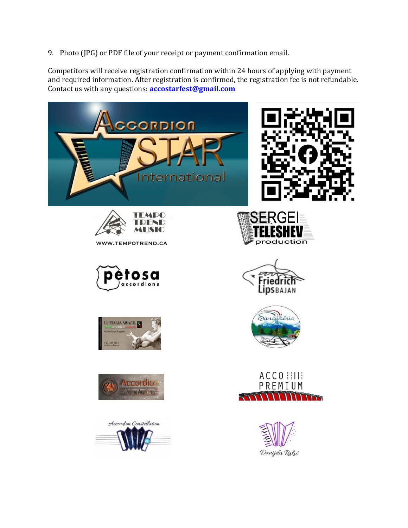9. Photo (JPG) or PDF file of your receipt or payment confirmation email.

Competitors will receive registration confirmation within 24 hours of applying with payment and required information. After registration is confirmed, the registration fee is not refundable. Contact us with any questions: **[accostarfest@gmail.com](mailto:accostarfest@gmail.com)**